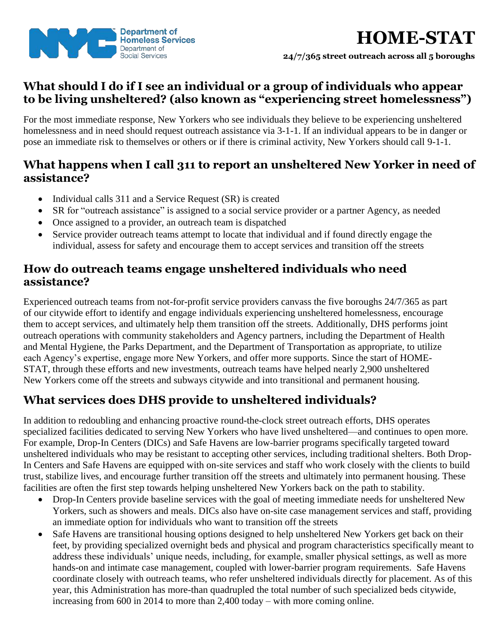

# **HOME-STAT**

**24/7/365 street outreach across all 5 boroughs**

## **What should I do if I see an individual or a group of individuals who appear to be living unsheltered? (also known as "experiencing street homelessness")**

For the most immediate response, New Yorkers who see individuals they believe to be experiencing unsheltered homelessness and in need should request outreach assistance via 3-1-1. If an individual appears to be in danger or pose an immediate risk to themselves or others or if there is criminal activity, New Yorkers should call 9-1-1.

### **What happens when I call 311 to report an unsheltered New Yorker in need of assistance?**

- Individual calls 311 and a Service Request (SR) is created
- SR for "outreach assistance" is assigned to a social service provider or a partner Agency, as needed
- Once assigned to a provider, an outreach team is dispatched
- Service provider outreach teams attempt to locate that individual and if found directly engage the individual, assess for safety and encourage them to accept services and transition off the streets

#### **How do outreach teams engage unsheltered individuals who need assistance?**

Experienced outreach teams from not-for-profit service providers canvass the five boroughs 24/7/365 as part of our citywide effort to identify and engage individuals experiencing unsheltered homelessness, encourage them to accept services, and ultimately help them transition off the streets. Additionally, DHS performs joint outreach operations with community stakeholders and Agency partners, including the Department of Health and Mental Hygiene, the Parks Department, and the Department of Transportation as appropriate, to utilize each Agency's expertise, engage more New Yorkers, and offer more supports. Since the start of HOME-STAT, through these efforts and new investments, outreach teams have helped nearly 2,900 unsheltered New Yorkers come off the streets and subways citywide and into transitional and permanent housing.

# **What services does DHS provide to unsheltered individuals?**

In addition to redoubling and enhancing proactive round-the-clock street outreach efforts, DHS operates specialized facilities dedicated to serving New Yorkers who have lived unsheltered—and continues to open more. For example, Drop-In Centers (DICs) and Safe Havens are low-barrier programs specifically targeted toward unsheltered individuals who may be resistant to accepting other services, including traditional shelters. Both Drop-In Centers and Safe Havens are equipped with on-site services and staff who work closely with the clients to build trust, stabilize lives, and encourage further transition off the streets and ultimately into permanent housing. These facilities are often the first step towards helping unsheltered New Yorkers back on the path to stability.

- Drop-In Centers provide baseline services with the goal of meeting immediate needs for unsheltered New Yorkers, such as showers and meals. DICs also have on-site case management services and staff, providing an immediate option for individuals who want to transition off the streets
- Safe Havens are transitional housing options designed to help unsheltered New Yorkers get back on their feet, by providing specialized overnight beds and physical and program characteristics specifically meant to address these individuals' unique needs, including, for example, smaller physical settings, as well as more hands-on and intimate case management, coupled with lower-barrier program requirements. Safe Havens coordinate closely with outreach teams, who refer unsheltered individuals directly for placement. As of this year, this Administration has more-than quadrupled the total number of such specialized beds citywide, increasing from 600 in 2014 to more than 2,400 today – with more coming online.